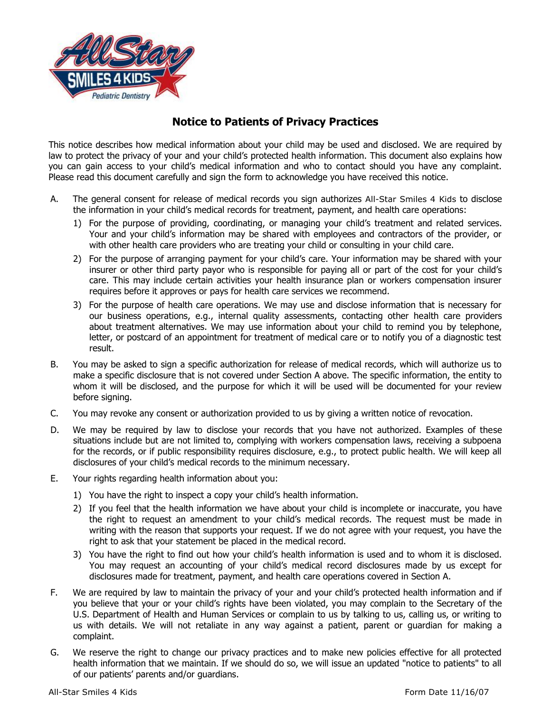

## **Notice to Patients of Privacy Practices**

This notice describes how medical information about your child may be used and disclosed. We are required by law to protect the privacy of your and your child's protected health information. This document also explains how you can gain access to your child's medical information and who to contact should you have any complaint. Please read this document carefully and sign the form to acknowledge you have received this notice.

- A. The general consent for release of medical records you sign authorizes All-Star Smiles 4 Kids to disclose the information in your child's medical records for treatment, payment, and health care operations:
	- 1) For the purpose of providing, coordinating, or managing your child's treatment and related services. Your and your child's information may be shared with employees and contractors of the provider, or with other health care providers who are treating your child or consulting in your child care.
	- 2) For the purpose of arranging payment for your child's care. Your information may be shared with your insurer or other third party payor who is responsible for paying all or part of the cost for your child's care. This may include certain activities your health insurance plan or workers compensation insurer requires before it approves or pays for health care services we recommend.
	- 3) For the purpose of health care operations. We may use and disclose information that is necessary for our business operations, e.g., internal quality assessments, contacting other health care providers about treatment alternatives. We may use information about your child to remind you by telephone, letter, or postcard of an appointment for treatment of medical care or to notify you of a diagnostic test result.
- B. You may be asked to sign a specific authorization for release of medical records, which will authorize us to make a specific disclosure that is not covered under Section A above. The specific information, the entity to whom it will be disclosed, and the purpose for which it will be used will be documented for your review before signing.
- C. You may revoke any consent or authorization provided to us by giving a written notice of revocation.
- D. We may be required by law to disclose your records that you have not authorized. Examples of these situations include but are not limited to, complying with workers compensation laws, receiving a subpoena for the records, or if public responsibility requires disclosure, e.g., to protect public health. We will keep all disclosures of your child's medical records to the minimum necessary.
- E. Your rights regarding health information about you:
	- 1) You have the right to inspect a copy your child's health information.
	- 2) If you feel that the health information we have about your child is incomplete or inaccurate, you have the right to request an amendment to your child's medical records. The request must be made in writing with the reason that supports your request. If we do not agree with your request, you have the right to ask that your statement be placed in the medical record.
	- 3) You have the right to find out how your child's health information is used and to whom it is disclosed. You may request an accounting of your child's medical record disclosures made by us except for disclosures made for treatment, payment, and health care operations covered in Section A.
- F. We are required by law to maintain the privacy of your and your child's protected health information and if you believe that your or your child's rights have been violated, you may complain to the Secretary of the U.S. Department of Health and Human Services or complain to us by talking to us, calling us, or writing to us with details. We will not retaliate in any way against a patient, parent or guardian for making a complaint.
- G. We reserve the right to change our privacy practices and to make new policies effective for all protected health information that we maintain. If we should do so, we will issue an updated "notice to patients" to all of our patients' parents and/or guardians.